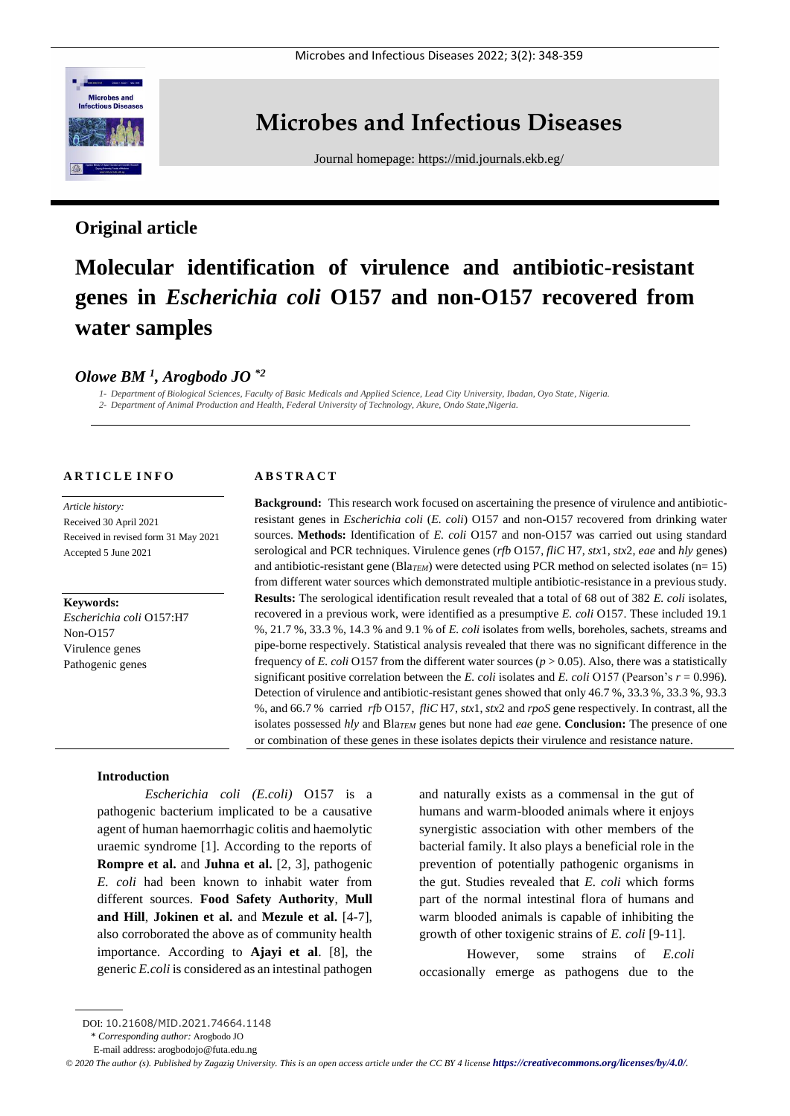

## **Microbes and Infectious Diseases**

Journal homepage:<https://mid.journals.ekb.eg/>

## **Original article**

# **Molecular identification of virulence and antibiotic-resistant genes in** *Escherichia coli* **O157 and non-O157 recovered from water samples**

## *Olowe BM <sup>1</sup> , Arogbodo JO \*2*

*1- Department of Biological Sciences, Faculty of Basic Medicals and Applied Science, Lead City University, Ibadan, Oyo State, Nigeria. 2- Department of Animal Production and Health, Federal University of Technology, Akure, Ondo State,Nigeria.*

#### **A R T I C L E I N F O**

*Article history:*  Received 30 April 2021 Received in revised form 31 May 2021 Accepted 5 June 2021

**Keywords:** *Escherichia coli* O157:H7 Non-O157 Virulence genes Pathogenic genes

#### **A B S T R A C T**

**Background:** This research work focused on ascertaining the presence of virulence and antibioticresistant genes in *Escherichia coli* (*E. coli*) O157 and non-O157 recovered from drinking water sources. **Methods:** Identification of *E. coli* O157 and non-O157 was carried out using standard serological and PCR techniques. Virulence genes (*rfb* O157, *fliC* H7, *stx*1, *stx*2, *eae* and *hly* genes) and antibiotic-resistant gene (Bla*TEM*) were detected using PCR method on selected isolates (n= 15) from different water sources which demonstrated multiple antibiotic-resistance in a previous study. **Results:** The serological identification result revealed that a total of 68 out of 382 *E. coli* isolates, recovered in a previous work, were identified as a presumptive *E. coli* O157. These included 19.1 %, 21.7 %, 33.3 %, 14.3 % and 9.1 % of *E. coli* isolates from wells, boreholes, sachets, streams and pipe-borne respectively. Statistical analysis revealed that there was no significant difference in the frequency of *E. coli* O157 from the different water sources ( $p > 0.05$ ). Also, there was a statistically significant positive correlation between the *E. coli* isolates and *E. coli* O157 (Pearson's *r* = 0.996). Detection of virulence and antibiotic-resistant genes showed that only 46.7 %, 33.3 %, 33.3 %, 93.3 %, and 66.7 % carried *rfb* O157, *fliC* H7, *stx*1, *stx*2 and *rpoS* gene respectively. In contrast, all the isolates possessed *hly* and Bla<sub>*TEM*</sub> genes but none had *eae* gene. **Conclusion:** The presence of one or combination of these genes in these isolates depicts their virulence and resistance nature.

#### **Introduction**

*Escherichia coli (E.coli)* O157 is a pathogenic bacterium implicated to be a causative agent of human haemorrhagic colitis and haemolytic uraemic syndrome [1]. According to the reports of **Rompre et al.** and **Juhna et al.** [2, 3], pathogenic *E. coli* had been known to inhabit water from different sources. **Food Safety Authority**, **Mull and Hill**, **Jokinen et al.** and **Mezule et al.** [4-7], also corroborated the above as of community health importance. According to **Ajayi et al**. [8], the generic *E.coli* is considered as an intestinal pathogen and naturally exists as a commensal in the gut of humans and warm-blooded animals where it enjoys synergistic association with other members of the bacterial family. It also plays a beneficial role in the prevention of potentially pathogenic organisms in the gut. Studies revealed that *E. coli* which forms part of the normal intestinal flora of humans and warm blooded animals is capable of inhibiting the growth of other toxigenic strains of *E. coli* [9-11].

However, some strains of *E.coli* occasionally emerge as pathogens due to the

\* *Corresponding author:* Arogbodo JO

DOI: 10.21608/MID.2021.74664.1148

E-mail address: [arogbodojo@futa.edu.ng](mailto:arogbodojo@futa.edu.ng)

*<sup>©</sup> 2020 The author (s). Published by Zagazig University. This is an open access article under the CC BY 4 license <https://creativecommons.org/licenses/by/4.0/>.*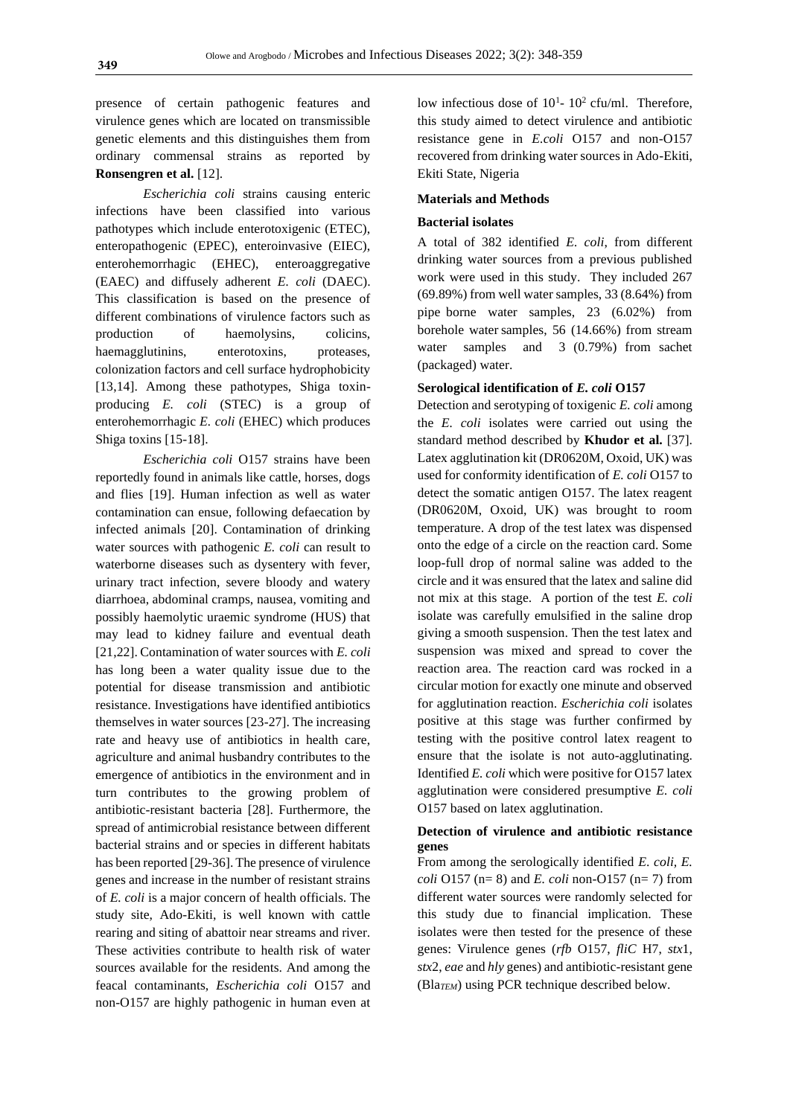presence of certain pathogenic features and virulence genes which are located on transmissible genetic elements and this distinguishes them from ordinary commensal strains as reported by **Ronsengren et al.** [12].

*Escherichia coli* strains causing enteric infections have been classified into various pathotypes which include enterotoxigenic (ETEC), enteropathogenic (EPEC), enteroinvasive (EIEC), enterohemorrhagic (EHEC), enteroaggregative (EAEC) and diffusely adherent *E. coli* (DAEC). This classification is based on the presence of different combinations of virulence factors such as production of haemolysins, colicins, haemagglutinins, enterotoxins, proteases, colonization factors and cell surface hydrophobicity [13,14]. Among these pathotypes, Shiga toxinproducing *E. coli* (STEC) is a group of enterohemorrhagic *E. coli* (EHEC) which produces Shiga toxins [15-18].

*Escherichia coli* O157 strains have been reportedly found in animals like cattle, horses, dogs and flies [19]. Human infection as well as water contamination can ensue, following defaecation by infected animals [20]. Contamination of drinking water sources with pathogenic *E. coli* can result to waterborne diseases such as dysentery with fever, urinary tract infection, severe bloody and watery diarrhoea, abdominal cramps, nausea, vomiting and possibly haemolytic uraemic syndrome (HUS) that may lead to kidney failure and eventual death [21,22]. Contamination of water sources with *E. coli*  has long been a water quality issue due to the potential for disease transmission and antibiotic resistance. Investigations have identified antibiotics themselves in water sources [23-27]. The increasing rate and heavy use of antibiotics in health care, agriculture and animal husbandry contributes to the emergence of antibiotics in the environment and in turn contributes to the growing problem of antibiotic-resistant bacteria [28]. Furthermore, the spread of antimicrobial resistance between different bacterial strains and or species in different habitats has been reported [29-36]. The presence of virulence genes and increase in the number of resistant strains of *E. coli* is a major concern of health officials. The study site, Ado-Ekiti, is well known with cattle rearing and siting of abattoir near streams and river. These activities contribute to health risk of water sources available for the residents. And among the feacal contaminants, *Escherichia coli* O157 and non-O157 are highly pathogenic in human even at

low infectious dose of  $10<sup>1</sup>$ -  $10<sup>2</sup>$  cfu/ml. Therefore, this study aimed to detect virulence and antibiotic resistance gene in *E.coli* O157 and non-O157 recovered from drinking water sources in Ado-Ekiti, Ekiti State, Nigeria

#### **Materials and Methods**

#### **Bacterial isolates**

A total of 382 identified *E. coli*, from different drinking water sources from a previous published work were used in this study. They included 267 (69.89%) from well water samples, 33 (8.64%) from pipe borne water samples, 23 (6.02%) from borehole water samples, 56 (14.66%) from stream water samples and 3 (0.79%) from sachet (packaged) water.

#### **Serological identification of** *E. coli* **O157**

Detection and serotyping of toxigenic *E. coli* among the *E. coli* isolates were carried out using the standard method described by **Khudor et al.** [37]. Latex agglutination kit (DR0620M, Oxoid, UK) was used for conformity identification of *E. coli* O157 to detect the somatic antigen O157. The latex reagent (DR0620M, Oxoid, UK) was brought to room temperature. A drop of the test latex was dispensed onto the edge of a circle on the reaction card. Some loop-full drop of normal saline was added to the circle and it was ensured that the latex and saline did not mix at this stage. A portion of the test *E. coli* isolate was carefully emulsified in the saline drop giving a smooth suspension. Then the test latex and suspension was mixed and spread to cover the reaction area. The reaction card was rocked in a circular motion for exactly one minute and observed for agglutination reaction. *Escherichia coli* isolates positive at this stage was further confirmed by testing with the positive control latex reagent to ensure that the isolate is not auto-agglutinating. Identified *E. coli* which were positive for O157 latex agglutination were considered presumptive *E. coli*  O157 based on latex agglutination.

#### **Detection of virulence and antibiotic resistance genes**

From among the serologically identified *E*. *coli, E. coli* O157 (n= 8) and *E. coli* non-O157 (n= 7) from different water sources were randomly selected for this study due to financial implication. These isolates were then tested for the presence of these genes: Virulence genes (*rfb* O157, *fliC* H7, *stx*1, *stx*2, *eae* and *hly* genes) and antibiotic-resistant gene (Bla*TEM*) using PCR technique described below.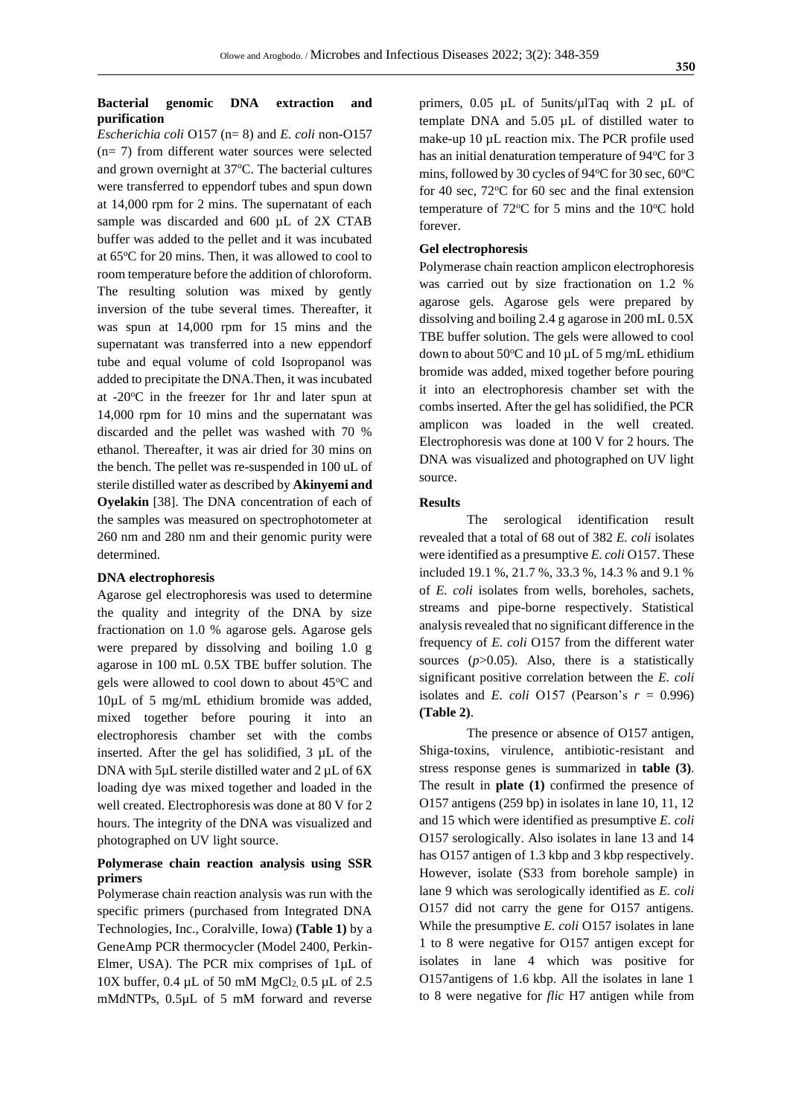#### **Bacterial genomic DNA extraction and purification**

*Escherichia coli* O157 (n= 8) and *E. coli* non-O157 (n= 7) from different water sources were selected and grown overnight at  $37^{\circ}$ C. The bacterial cultures were transferred to eppendorf tubes and spun down at 14,000 rpm for 2 mins. The supernatant of each sample was discarded and 600 µL of 2X CTAB buffer was added to the pellet and it was incubated at 65°C for 20 mins. Then, it was allowed to cool to room temperature before the addition of chloroform. The resulting solution was mixed by gently inversion of the tube several times. Thereafter, it was spun at 14,000 rpm for 15 mins and the supernatant was transferred into a new eppendorf tube and equal volume of cold Isopropanol was added to precipitate the DNA.Then, it was incubated at -20<sup>o</sup>C in the freezer for 1hr and later spun at 14,000 rpm for 10 mins and the supernatant was discarded and the pellet was washed with 70 % ethanol. Thereafter, it was air dried for 30 mins on the bench. The pellet was re-suspended in 100 uL of sterile distilled water as described by **Akinyemi and Oyelakin** [38]. The DNA concentration of each of the samples was measured on spectrophotometer at 260 nm and 280 nm and their genomic purity were determined.

#### **DNA electrophoresis**

Agarose gel electrophoresis was used to determine the quality and integrity of the DNA by size fractionation on 1.0 % agarose gels. Agarose gels were prepared by dissolving and boiling 1.0 g agarose in 100 mL 0.5X TBE buffer solution. The gels were allowed to cool down to about 45<sup>o</sup>C and 10µL of 5 mg/mL ethidium bromide was added, mixed together before pouring it into an electrophoresis chamber set with the combs inserted. After the gel has solidified, 3 µL of the DNA with  $5\mu$ L sterile distilled water and  $2\mu$ L of  $6X$ loading dye was mixed together and loaded in the well created. Electrophoresis was done at 80 V for 2 hours. The integrity of the DNA was visualized and photographed on UV light source.

#### **Polymerase chain reaction analysis using SSR primers**

Polymerase chain reaction analysis was run with the specific primers (purchased from Integrated DNA Technologies, Inc., Coralville, Iowa) **(Table 1)** by a GeneAmp PCR thermocycler (Model 2400, Perkin-Elmer, USA). The PCR mix comprises of 1µL of  $10X$  buffer, 0.4 µL of 50 mM MgCl<sub>2</sub> 0.5 µL of 2.5 mMdNTPs, 0.5µL of 5 mM forward and reverse primers, 0.05 µL of 5units/µlTaq with 2 µL of template DNA and 5.05 µL of distilled water to make-up 10  $\mu$ L reaction mix. The PCR profile used has an initial denaturation temperature of  $94^{\circ}$ C for 3 mins, followed by 30 cycles of  $94^{\circ}$ C for 30 sec, 60 $^{\circ}$ C for 40 sec,  $72^{\circ}$ C for 60 sec and the final extension temperature of  $72^{\circ}$ C for 5 mins and the 10 $^{\circ}$ C hold forever.

#### **Gel electrophoresis**

Polymerase chain reaction amplicon electrophoresis was carried out by size fractionation on 1.2 % agarose gels. Agarose gels were prepared by dissolving and boiling 2.4 g agarose in 200 mL 0.5X TBE buffer solution. The gels were allowed to cool down to about  $50^{\circ}$ C and  $10 \mu$ L of 5 mg/mL ethidium bromide was added, mixed together before pouring it into an electrophoresis chamber set with the combs inserted. After the gel has solidified, the PCR amplicon was loaded in the well created. Electrophoresis was done at 100 V for 2 hours. The DNA was visualized and photographed on UV light source.

#### **Results**

The serological identification result revealed that a total of 68 out of 382 *E. coli* isolates were identified as a presumptive *E. coli* O157. These included 19.1 %, 21.7 %, 33.3 %, 14.3 % and 9.1 % of *E. coli* isolates from wells, boreholes, sachets, streams and pipe-borne respectively. Statistical analysis revealed that no significant difference in the frequency of *E. coli* O157 from the different water sources  $(p>0.05)$ . Also, there is a statistically significant positive correlation between the *E. coli*  isolates and *E. coli* O157 (Pearson's  $r = 0.996$ ) **(Table 2)**.

The presence or absence of O157 antigen, Shiga-toxins, virulence, antibiotic-resistant and stress response genes is summarized in **table (3)**. The result in **plate (1)** confirmed the presence of O157 antigens (259 bp) in isolates in lane 10, 11, 12 and 15 which were identified as presumptive *E. coli* O157 serologically. Also isolates in lane 13 and 14 has O157 antigen of 1.3 kbp and 3 kbp respectively. However, isolate (S33 from borehole sample) in lane 9 which was serologically identified as *E. coli* O157 did not carry the gene for O157 antigens. While the presumptive *E. coli* O157 isolates in lane 1 to 8 were negative for O157 antigen except for isolates in lane 4 which was positive for O157antigens of 1.6 kbp. All the isolates in lane 1 to 8 were negative for *flic* H7 antigen while from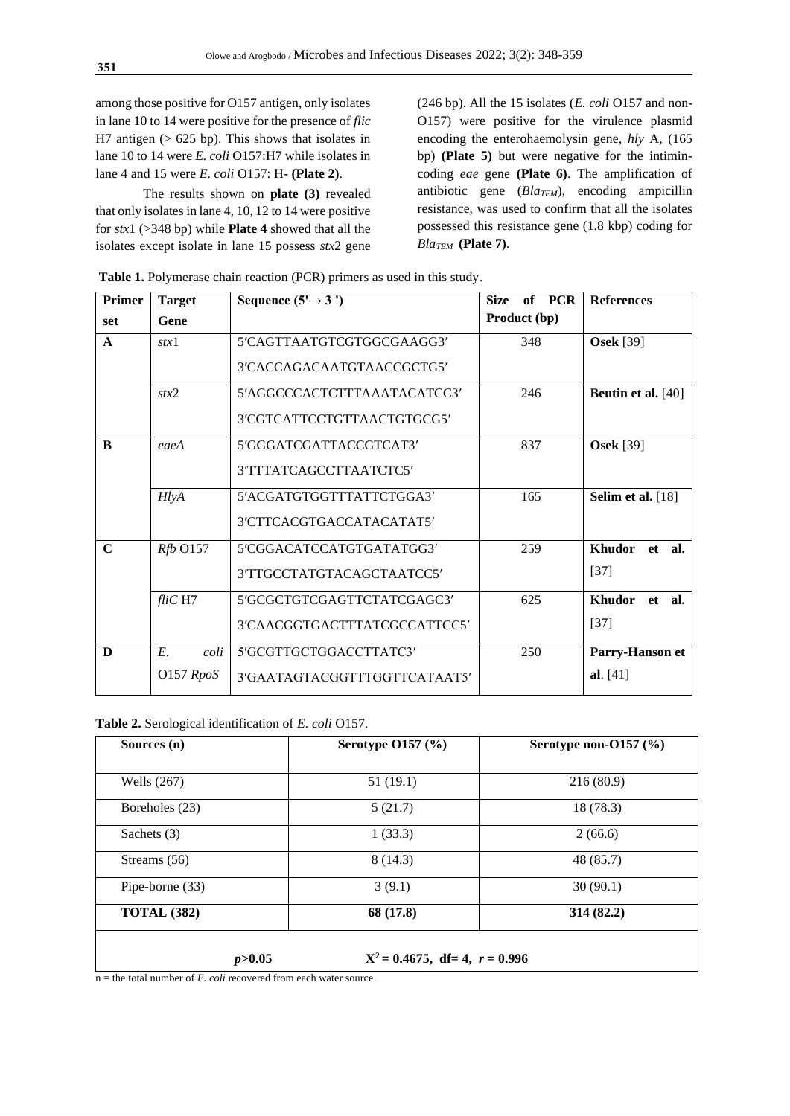among those positive for O157 antigen, only isolates in lane 10 to 14 were positive for the presence of *flic*  H7 antigen  $(> 625$  bp). This shows that isolates in lane 10 to 14 were *E. coli* O157:H7 while isolates in lane 4 and 15 were *E. coli* O157: H- **(Plate 2)**.

The results shown on **plate (3)** revealed that only isolates in lane 4, 10, 12 to 14 were positive for *stx*1 (>348 bp) while **Plate 4** showed that all the isolates except isolate in lane 15 possess *stx*2 gene (246 bp). All the 15 isolates (*E. coli* O157 and non-O157) were positive for the virulence plasmid encoding the enterohaemolysin gene, *hly* A, (165 bp) **(Plate 5)** but were negative for the intimincoding *eae* gene **(Plate 6)**. The amplification of antibiotic gene (*BlaTEM*), encoding ampicillin resistance, was used to confirm that all the isolates possessed this resistance gene (1.8 kbp) coding for *BlaTEM* **(Plate 7)**.

| <b>Primer</b> | <b>Target</b> | Sequence $(5' \rightarrow 3')$ | of PCR<br><b>Size</b> | <b>References</b>  |  |  |
|---------------|---------------|--------------------------------|-----------------------|--------------------|--|--|
| set           | Gene          |                                | Product (bp)          |                    |  |  |
| $\mathbf{A}$  | stx1          | 5'CAGTTAATGTCGTGGCGAAGG3'      | 348                   | <b>Osek</b> [39]   |  |  |
|               |               | 3'CACCAGACAATGTAACCGCTG5'      |                       |                    |  |  |
|               | stx2          | 5'AGGCCCACTCTTTAAATACATCC3'    | 246                   | Beutin et al. [40] |  |  |
|               |               | 3'CGTCATTCCTGTTAACTGTGCG5'     |                       |                    |  |  |
| <sup>B</sup>  | eaeA          | 5'GGGATCGATTACCGTCAT3'         | 837                   | <b>Osek</b> [39]   |  |  |
|               |               | 3'TTTATCAGCCTTAATCTC5'         |                       |                    |  |  |
|               | HlyA          | 5'ACGATGTGGTTTATTCTGGA3'       | 165                   | Selim et al. [18]  |  |  |
|               |               | 3'CTTCACGTGACCATACATAT5'       |                       |                    |  |  |
| $\mathbf C$   | $Rfb$ O157    | 5'CGGACATCCATGTGATATGG3'       | 259                   | Khudor et al.      |  |  |
|               |               | 3'TTGCCTATGTACAGCTAATCC5'      |                       | $[37]$             |  |  |
|               | $fliC$ H7     | 5'GCGCTGTCGAGTTCTATCGAGC3'     | 625                   | Khudor<br>et al.   |  |  |
|               |               | 3'CAACGGTGACTTTATCGCCATTCC5'   |                       | $[37]$             |  |  |
| D             | E.<br>coli    | 5'GCGTTGCTGGACCTTATC3'         | 250                   | Parry-Hanson et    |  |  |
|               | O157 RpoS     | 3'GAATAGTACGGTTTGGTTCATAAT5'   |                       | al. $[41]$         |  |  |

**Table 1.** Polymerase chain reaction (PCR) primers as used in this study.

**Table 2.** Serological identification of *E. coli* O157.

| Sources $(n)$      | <b>Serotype O157 (%)</b> | Serotype non-O157 (%) |  |  |
|--------------------|--------------------------|-----------------------|--|--|
| Wells $(267)$      | 51(19.1)                 | 216(80.9)             |  |  |
| Boreholes (23)     | 5(21.7)                  | 18 (78.3)             |  |  |
| Sachets (3)        | 1(33.3)                  | 2(66.6)               |  |  |
| Streams (56)       | 8(14.3)                  | 48 (85.7)             |  |  |
| Pipe-borne (33)    | 3(9.1)                   | 30(90.1)              |  |  |
| <b>TOTAL (382)</b> | 68 (17.8)                | 314(82.2)             |  |  |

 $n =$  the total number of *E. coli* recovered from each water source.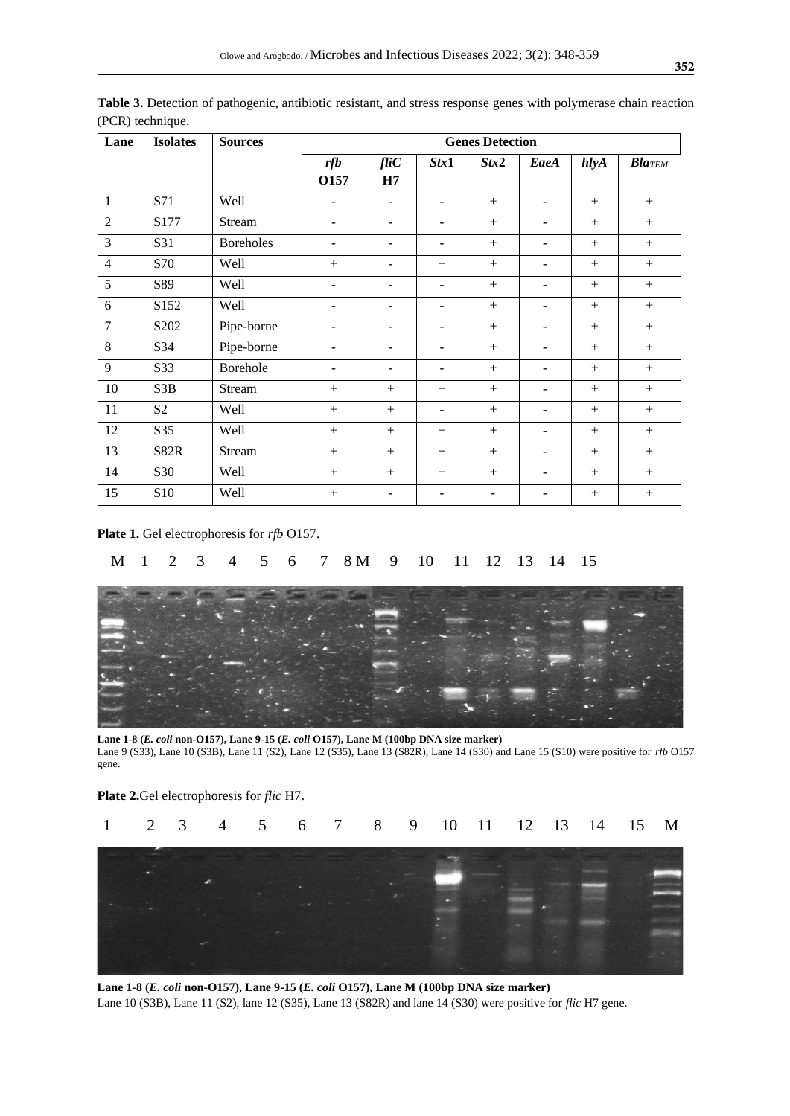| Lane           | <b>Isolates</b> | <b>Sources</b>   | <b>Genes Detection</b>   |                          |        |                          |                          |      |               |
|----------------|-----------------|------------------|--------------------------|--------------------------|--------|--------------------------|--------------------------|------|---------------|
|                |                 |                  | rfb<br>O157              | $\mathit{flic}$<br>H7    | Stx1   | Stx2                     | EaeA                     | hlyA | <b>BlaTEM</b> |
| $\mathbf{1}$   | S71             | Well             | $\overline{\phantom{a}}$ | $\blacksquare$           | ٠      | $+$                      | $\overline{\phantom{0}}$ | $+$  | $+$           |
| $\overline{2}$ | S177            | Stream           | $\overline{\phantom{a}}$ | -                        | -      | $+$                      | $\overline{\phantom{0}}$ | $+$  | $+$           |
| 3              | S31             | <b>Boreholes</b> | $\overline{\phantom{m}}$ | ۰                        | -      | $+$                      | ۰                        | $+$  | $+$           |
| $\overline{4}$ | S70             | Well             | $+$                      | ۰                        | $+$    | $+$                      | ۰                        | $+$  | $+$           |
| 5              | S89             | Well             | ٠                        | ۰                        | ۰      | $+$                      |                          | $+$  | $+$           |
| 6              | S152            | Well             | ٠                        | -                        | ۰      | $+$                      | -                        | $+$  | $^{+}$        |
| $\overline{7}$ | S202            | Pipe-borne       | $\overline{\phantom{a}}$ | ۰                        | ۰      | $+$                      | $\overline{\phantom{0}}$ | $+$  | $+$           |
| 8              | S34             | Pipe-borne       | ٠                        | $\overline{a}$           | ۰      | $+$                      | $\overline{\phantom{a}}$ | $+$  | $+$           |
| 9              | S33             | Borehole         | $\blacksquare$           | $\overline{a}$           | -      | $+$                      | $\overline{\phantom{a}}$ | $+$  |               |
| 10             | S3B             | Stream           | $+$                      | $+$                      | $+$    | $+$                      | $\overline{\phantom{a}}$ | $+$  | $+$           |
| 11             | S <sub>2</sub>  | Well             | $+$                      | $+$                      |        | $+$                      | $\blacksquare$           | $+$  | $+$           |
| 12             | S35             | Well             | $+$                      | $^{+}$                   | $^{+}$ | $^{+}$                   | $\overline{\phantom{0}}$ | $+$  | $^{+}$        |
| 13             | <b>S82R</b>     | Stream           | $+$                      | $+$                      | $+$    | $+$                      | $\overline{\phantom{0}}$ | $+$  | $+$           |
| 14             | S30             | Well             | $+$                      | $+$                      | $+$    | $^{+}$                   | $\overline{\phantom{0}}$ | $+$  | $+$           |
| 15             | S10             | Well             |                          | $\overline{\phantom{0}}$ | ۰      | $\overline{\phantom{0}}$ | -                        | $+$  |               |

**Table 3.** Detection of pathogenic, antibiotic resistant, and stress response genes with polymerase chain reaction (PCR) technique.

**Plate 1.** Gel electrophoresis for *rfb* O157.

### M 1 2 3 4 5 6 7 8 M 9 10 11 12 13 14 15



**Lane 1-8 (***E. coli* **non-O157), Lane 9-15 (***E. coli* **O157), Lane M (100bp DNA size marker)** Lane 9 (S33), Lane 10 (S3B), Lane 11 (S2), Lane 12 (S35), Lane 13 (S82R), Lane 14 (S30) and Lane 15 (S10) were positive for *rfb* O157 gene.



**Lane 1-8 (***E. coli* **non-O157), Lane 9-15 (***E. coli* **O157), Lane M (100bp DNA size marker)** Lane 10 (S3B), Lane 11 (S2), lane 12 (S35), Lane 13 (S82R) and lane 14 (S30) were positive for *flic* H7 gene.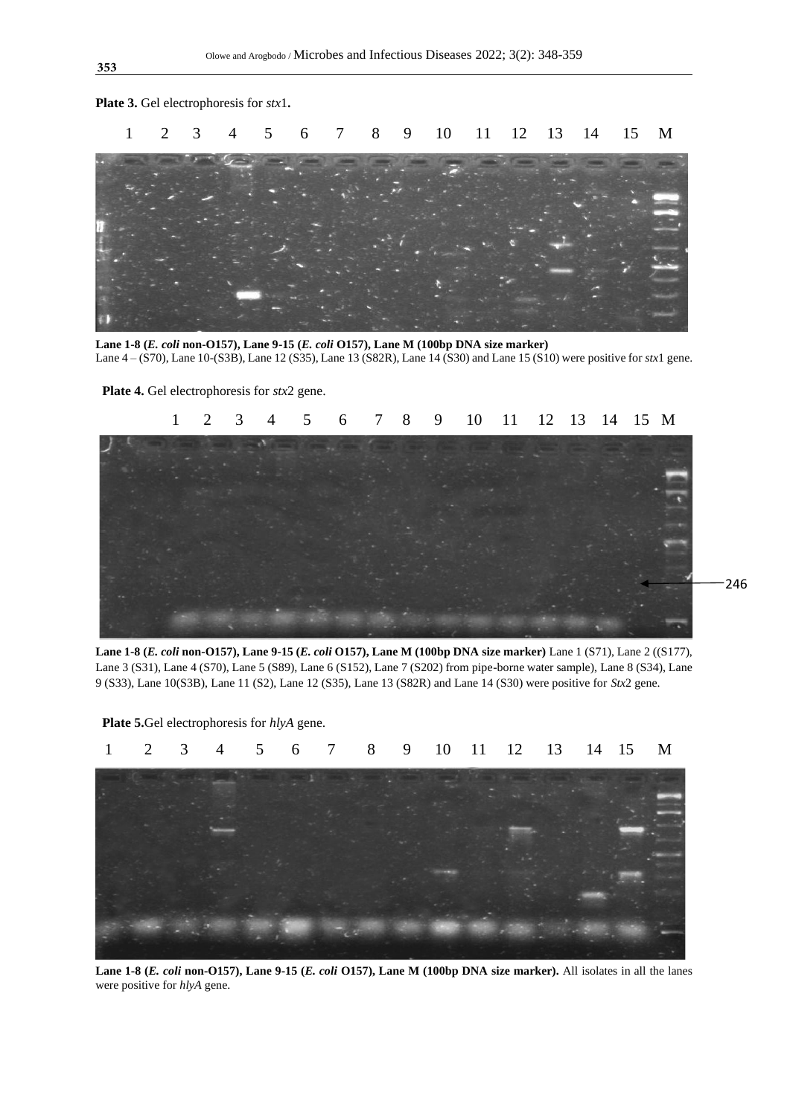1 2 3 4 5 6 7 8 9 10 11 12 13 14 15 M

**Lane 1-8 (***E. coli* **non-O157), Lane 9-15 (***E. coli* **O157), Lane M (100bp DNA size marker)** Lane 4 – (S70), Lane 10-(S3B), Lane 12 (S35), Lane 13 (S82R), Lane 14 (S30) and Lane 15 (S10) were positive for *stx*1 gene.

**Plate 4.** Gel electrophoresis for *stx*2 gene.

**Plate 3.** Gel electrophoresis for *stx*1**.**



**Lane 1-8 (***E. coli* **non-O157), Lane 9-15 (***E. coli* **O157), Lane M (100bp DNA size marker)** Lane 1 (S71), Lane 2 ((S177), Lane 3 (S31), Lane 4 (S70), Lane 5 (S89), Lane 6 (S152), Lane 7 (S202) from pipe-borne water sample), Lane 8 (S34), Lane 9 (S33), Lane 10(S3B), Lane 11 (S2), Lane 12 (S35), Lane 13 (S82R) and Lane 14 (S30) were positive for *Stx*2 gene.



 **Plate 5.**Gel electrophoresis for *hlyA* gene.

**Lane 1-8 (***E. coli* **non-O157), Lane 9-15 (***E. coli* **O157), Lane M (100bp DNA size marker).** All isolates in all the lanes were positive for *hlyA* gene.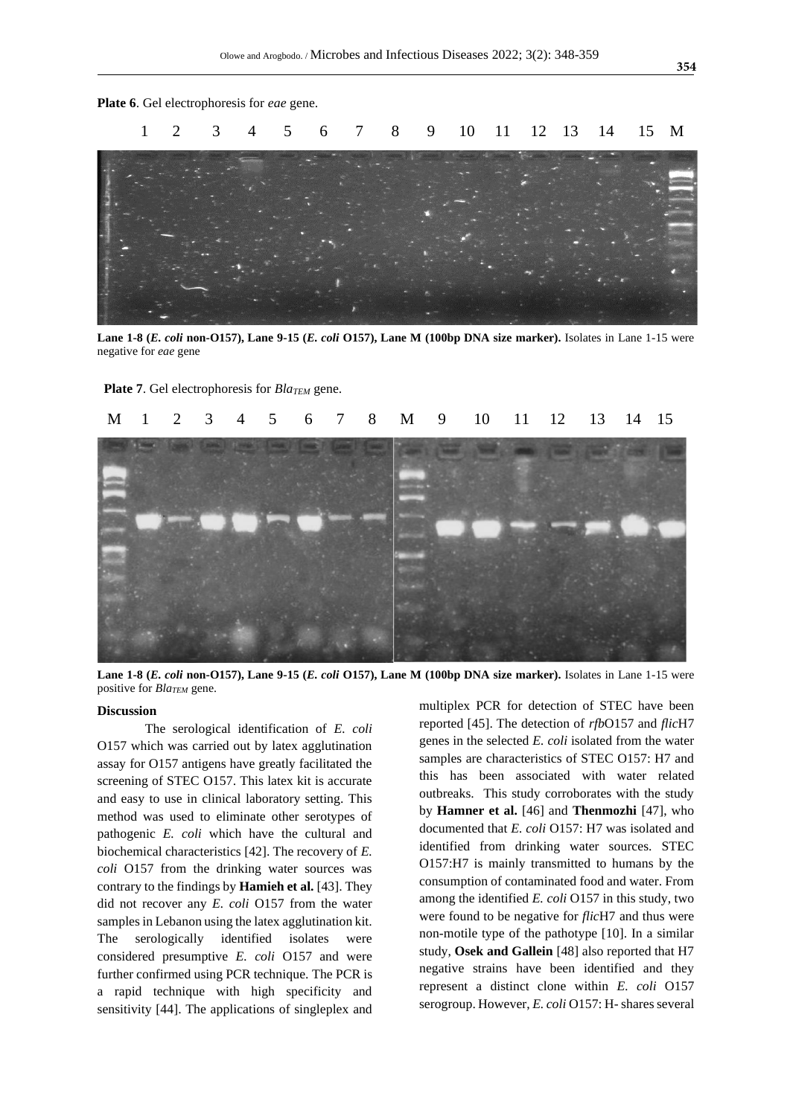

**Lane 1-8 (***E. coli* **non-O157), Lane 9-15 (***E. coli* **O157), Lane M (100bp DNA size marker).** Isolates in Lane 1-15 were negative for *eae* gene

**Plate 7**. Gel electrophoresis for *BlaTEM* gene.



**Lane 1-8 (***E. coli* **non-O157), Lane 9-15 (***E. coli* **O157), Lane M (100bp DNA size marker).** Isolates in Lane 1-15 were positive for *BlaTEM* gene.

#### **Discussion**

The serological identification of *E. coli*  O157 which was carried out by latex agglutination assay for O157 antigens have greatly facilitated the screening of STEC O157. This latex kit is accurate and easy to use in clinical laboratory setting. This method was used to eliminate other serotypes of pathogenic *E. coli* which have the cultural and biochemical characteristics [42]. The recovery of *E. coli* O157 from the drinking water sources was contrary to the findings by **Hamieh et al.** [43]. They did not recover any *E. coli* O157 from the water samples in Lebanon using the latex agglutination kit. The serologically identified isolates were considered presumptive *E. coli* O157 and were further confirmed using PCR technique. The PCR is a rapid technique with high specificity and sensitivity [44]. The applications of singleplex and multiplex PCR for detection of STEC have been reported [45]. The detection of *rfb*O157 and *flic*H7 genes in the selected *E. coli* isolated from the water samples are characteristics of STEC O157: H7 and this has been associated with water related outbreaks. This study corroborates with the study by **Hamner et al.** [46] and **Thenmozhi** [47], who documented that *E. coli* O157: H7 was isolated and identified from drinking water sources. STEC O157:H7 is mainly transmitted to humans by the consumption of contaminated food and water. From among the identified *E. coli* O157 in this study, two were found to be negative for *flic*H7 and thus were non-motile type of the pathotype [10]. In a similar study, **Osek and Gallein** [48] also reported that H7 negative strains have been identified and they represent a distinct clone within *E. coli* O157 serogroup. However, *E. coli* O157: H- shares several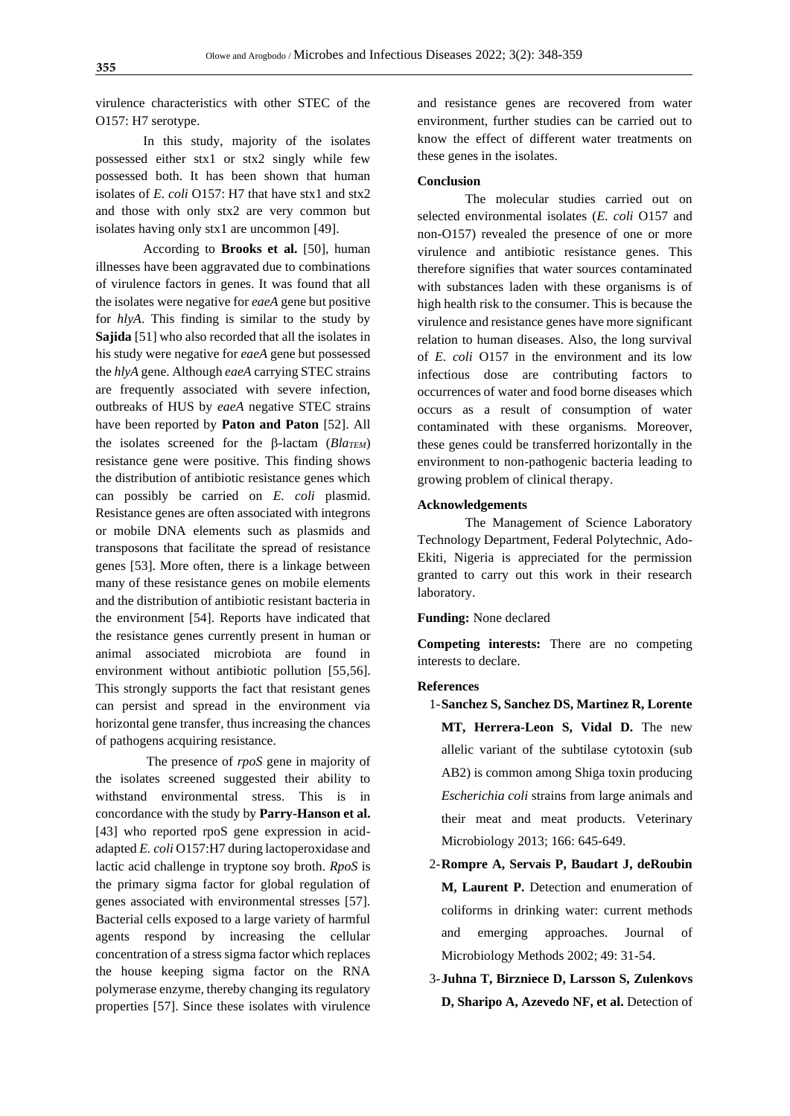virulence characteristics with other STEC of the O157: H7 serotype.

In this study, majority of the isolates possessed either stx1 or stx2 singly while few possessed both. It has been shown that human isolates of *E. coli* O157: H7 that have stx1 and stx2 and those with only stx2 are very common but isolates having only stx1 are uncommon [49].

According to **Brooks et al.** [50], human illnesses have been aggravated due to combinations of virulence factors in genes. It was found that all the isolates were negative for *eaeA* gene but positive for *hlyA*. This finding is similar to the study by **Sajida** [51] who also recorded that all the isolates in his study were negative for *eaeA* gene but possessed the *hlyA* gene. Although *eaeA* carrying STEC strains are frequently associated with severe infection, outbreaks of HUS by *eaeA* negative STEC strains have been reported by **Paton and Paton** [52]. All the isolates screened for the  $\beta$ -lactam (*Bla<sub>TEM</sub>*) resistance gene were positive. This finding shows the distribution of antibiotic resistance genes which can possibly be carried on *E. coli* plasmid. Resistance genes are often associated with integrons or mobile DNA elements such as plasmids and transposons that facilitate the spread of resistance genes [53]. More often, there is a linkage between many of these resistance genes on mobile elements and the distribution of antibiotic resistant bacteria in the environment [54]. Reports have indicated that the resistance genes currently present in human or animal associated microbiota are found in environment without antibiotic pollution [55,56]. This strongly supports the fact that resistant genes can persist and spread in the environment via horizontal gene transfer, thus increasing the chances of pathogens acquiring resistance.

The presence of *rpoS* gene in majority of the isolates screened suggested their ability to withstand environmental stress. This is in concordance with the study by **Parry-Hanson et al.** [43] who reported rpoS gene expression in acidadapted *E. coli* O157:H7 during lactoperoxidase and lactic acid challenge in tryptone soy broth. *RpoS* is the primary sigma factor for global regulation of genes associated with environmental stresses [57]. Bacterial cells exposed to a large variety of harmful agents respond by increasing the cellular concentration of a stress sigma factor which replaces the house keeping sigma factor on the RNA polymerase enzyme, thereby changing its regulatory properties [57]. Since these isolates with virulence

and resistance genes are recovered from water environment, further studies can be carried out to know the effect of different water treatments on these genes in the isolates.

#### **Conclusion**

The molecular studies carried out on selected environmental isolates (*E. coli* O157 and non-O157) revealed the presence of one or more virulence and antibiotic resistance genes. This therefore signifies that water sources contaminated with substances laden with these organisms is of high health risk to the consumer. This is because the virulence and resistance genes have more significant relation to human diseases. Also, the long survival of *E. coli* O157 in the environment and its low infectious dose are contributing factors to occurrences of water and food borne diseases which occurs as a result of consumption of water contaminated with these organisms. Moreover, these genes could be transferred horizontally in the environment to non-pathogenic bacteria leading to growing problem of clinical therapy.

#### **Acknowledgements**

The Management of Science Laboratory Technology Department, Federal Polytechnic, Ado-Ekiti, Nigeria is appreciated for the permission granted to carry out this work in their research laboratory.

**Funding:** None declared

**Competing interests:** There are no competing interests to declare.

#### **References**

- 1-**Sanchez S, Sanchez DS, Martinez R, Lorente MT, Herrera-Leon S, Vidal D.** The new allelic variant of the subtilase cytotoxin (sub AB2) is common among Shiga toxin producing *Escherichia coli* strains from large animals and their meat and meat products. Veterinary Microbiology 2013; 166: 645-649.
- 2-**Rompre A, Servais P, Baudart J, deRoubin M, Laurent P.** Detection and enumeration of coliforms in drinking water: current methods and emerging approaches. Journal of Microbiology Methods 2002; 49: 31-54.
- 3-**Juhna T, Birzniece D, Larsson S, Zulenkovs D, Sharipo A, Azevedo NF, et al.** Detection of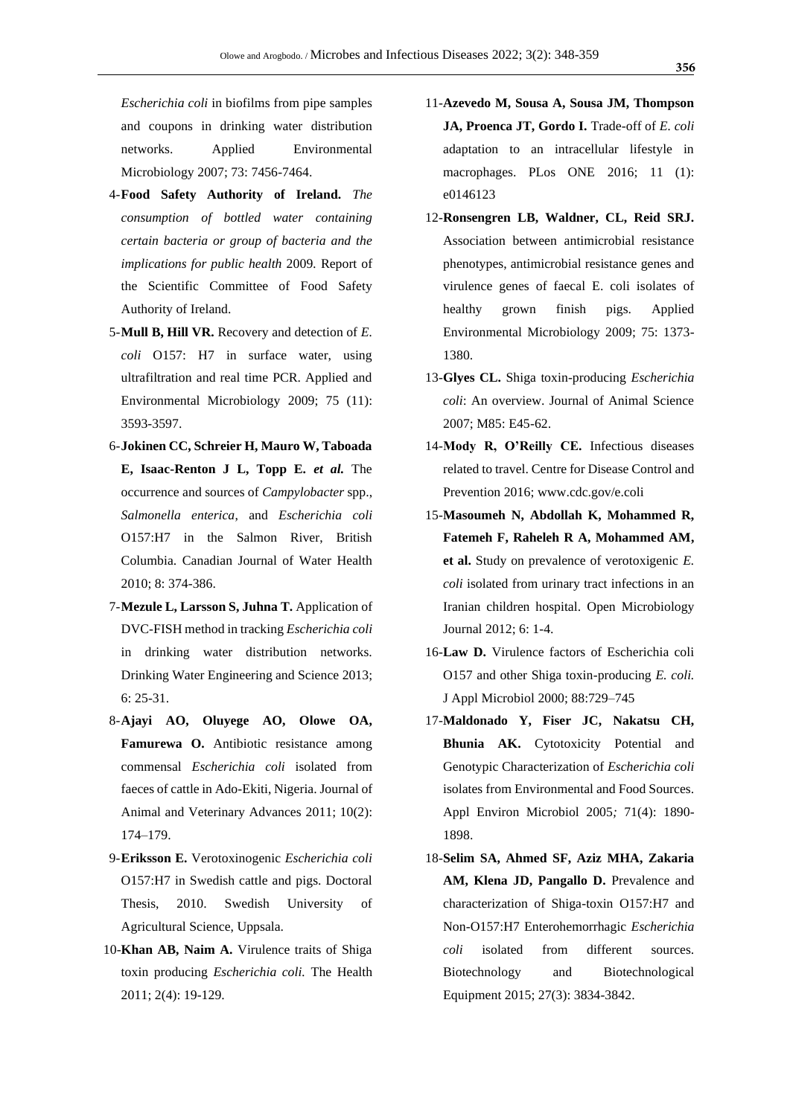*Escherichia coli* in biofilms from pipe samples and coupons in drinking water distribution networks. Applied Environmental Microbiology 2007; 73: 7456-7464.

- 4-**Food Safety Authority of Ireland.** *The consumption of bottled water containing certain bacteria or group of bacteria and the implications for public health* 2009*.* Report of the Scientific Committee of Food Safety Authority of Ireland.
- 5-**Mull B, Hill VR.** Recovery and detection of *E. coli* O157: H7 in surface water, using ultrafiltration and real time PCR. Applied and Environmental Microbiology 2009; 75 (11): 3593-3597.
- 6-**Jokinen CC, Schreier H, Mauro W, Taboada E, Isaac-Renton J L, Topp E.** *et al.* The occurrence and sources of *Campylobacter* spp., *Salmonella enterica*, and *Escherichia coli* O157:H7 in the Salmon River, British Columbia. Canadian Journal of Water Health 2010; 8: 374-386.
- 7-**Mezule L, Larsson S, Juhna T.** Application of DVC-FISH method in tracking *Escherichia coli* in drinking water distribution networks. Drinking Water Engineering and Science 2013; 6: 25-31.
- 8-**Ajayi AO, Oluyege AO, Olowe OA, Famurewa O.** Antibiotic resistance among commensal *Escherichia coli* isolated from faeces of cattle in Ado-Ekiti, Nigeria. Journal of Animal and Veterinary Advances 2011; 10(2): 174–179.
- 9-**Eriksson E.** Verotoxinogenic *Escherichia coli* O157:H7 in Swedish cattle and pigs. Doctoral Thesis, 2010. Swedish University of Agricultural Science, Uppsala.
- 10-**Khan AB, Naim A.** Virulence traits of Shiga toxin producing *Escherichia coli.* The Health 2011; 2(4): 19-129.
- 11-**Azevedo M, Sousa A, Sousa JM, Thompson**  JA, Proenca JT, Gordo I. Trade-off of *E. coli* adaptation to an intracellular lifestyle in macrophages. PLos ONE 2016; 11 (1): e0146123
- 12-**Ronsengren LB, Waldner, CL, Reid SRJ.** Association between antimicrobial resistance phenotypes, antimicrobial resistance genes and virulence genes of faecal E. coli isolates of healthy grown finish pigs. Applied Environmental Microbiology 2009; 75: 1373- 1380.
- 13-**Glyes CL.** Shiga toxin-producing *Escherichia coli*: An overview. Journal of Animal Science 2007; M85: E45-62.
- 14-**Mody R, O'Reilly CE.** Infectious diseases related to travel. Centre for Disease Control and Prevention 2016; [www.cdc.gov/e.coli](http://www.cdc.gov/e.coli)
- 15-**Masoumeh N, Abdollah K, Mohammed R, Fatemeh F, Raheleh R A, Mohammed AM, et al.** Study on prevalence of verotoxigenic *E. coli* isolated from urinary tract infections in an Iranian children hospital. Open Microbiology Journal 2012; 6: 1-4.
- 16-**Law D.** Virulence factors of Escherichia coli O157 and other Shiga toxin-producing *E. coli.* J Appl Microbiol 2000; 88:729–745
- 17-**Maldonado Y, Fiser JC, Nakatsu CH, Bhunia AK.** Cytotoxicity Potential and Genotypic Characterization of *Escherichia coli* isolates from Environmental and Food Sources. Appl Environ Microbiol 2005*;* 71(4): 1890- 1898.
- 18-**Selim SA, Ahmed SF, Aziz MHA, Zakaria**  AM, Klena JD, Pangallo D. Prevalence and characterization of Shiga-toxin O157:H7 and Non-O157:H7 Enterohemorrhagic *Escherichia coli* isolated from different sources. Biotechnology and Biotechnological Equipment 2015; 27(3): 3834-3842.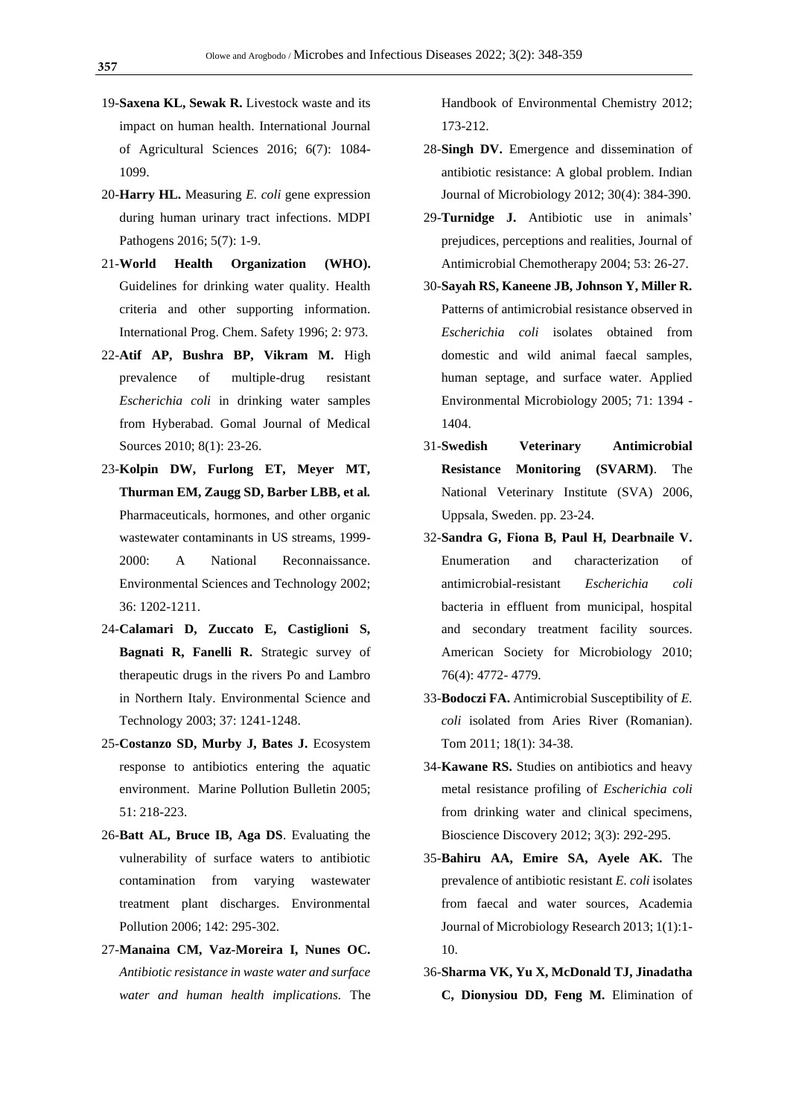- 19-**Saxena KL, Sewak R.** Livestock waste and its impact on human health. International Journal of Agricultural Sciences 2016; 6(7): 1084- 1099.
- 20-**Harry HL.** Measuring *E. coli* gene expression during human urinary tract infections. MDPI Pathogens 2016; 5(7): 1-9.
- 21-**World Health Organization (WHO).** Guidelines for drinking water quality. Health criteria and other supporting information. International Prog. Chem. Safety 1996; 2: 973.
- 22-**Atif AP, Bushra BP, Vikram M.** High prevalence of multiple-drug resistant *Escherichia coli* in drinking water samples from Hyberabad. Gomal Journal of Medical Sources 2010; 8(1): 23-26.
- 23-**Kolpin DW, Furlong ET, Meyer MT, Thurman EM, Zaugg SD, Barber LBB, et al***.* Pharmaceuticals, hormones, and other organic wastewater contaminants in US streams, 1999- 2000: A National Reconnaissance. Environmental Sciences and Technology 2002; 36: 1202-1211.
- 24-**Calamari D, Zuccato E, Castiglioni S, Bagnati R, Fanelli R.** Strategic survey of therapeutic drugs in the rivers Po and Lambro in Northern Italy. Environmental Science and Technology 2003; 37: 1241-1248.
- 25-**Costanzo SD, Murby J, Bates J.** Ecosystem response to antibiotics entering the aquatic environment. Marine Pollution Bulletin 2005; 51: 218-223.
- 26-**Batt AL, Bruce IB, Aga DS**. Evaluating the vulnerability of surface waters to antibiotic contamination from varying wastewater treatment plant discharges. Environmental Pollution 2006; 142: 295-302.
- 27-**Manaina CM, Vaz-Moreira I, Nunes OC.** *Antibiotic resistance in waste water and surface water and human health implications.* The

Handbook of Environmental Chemistry 2012; 173-212.

- 28-**Singh DV.** Emergence and dissemination of antibiotic resistance: A global problem. Indian Journal of Microbiology 2012; 30(4): 384-390.
- 29-**Turnidge J.** Antibiotic use in animals' prejudices, perceptions and realities, Journal of Antimicrobial Chemotherapy 2004; 53: 26-27.
- 30-**Sayah RS, Kaneene JB, Johnson Y, Miller R.** Patterns of antimicrobial resistance observed in *Escherichia coli* isolates obtained from domestic and wild animal faecal samples, human septage, and surface water. Applied Environmental Microbiology 2005; 71: 1394 - 1404.
- 31-**Swedish Veterinary Antimicrobial Resistance Monitoring (SVARM)**. The National Veterinary Institute (SVA) 2006, Uppsala, Sweden. pp. 23-24.
- 32-**Sandra G, Fiona B, Paul H, Dearbnaile V.** Enumeration and characterization of antimicrobial-resistant *Escherichia coli* bacteria in effluent from municipal, hospital and secondary treatment facility sources. American Society for Microbiology 2010; 76(4): 4772- 4779.
- 33-**Bodoczi FA.** Antimicrobial Susceptibility of *E. coli* isolated from Aries River (Romanian). Tom 2011; 18(1): 34-38.
- 34-**Kawane RS.** Studies on antibiotics and heavy metal resistance profiling of *Escherichia coli*  from drinking water and clinical specimens, Bioscience Discovery 2012; 3(3): 292-295.
- 35-**Bahiru AA, Emire SA, Ayele AK.** The prevalence of antibiotic resistant *E. coli* isolates from faecal and water sources, Academia Journal of Microbiology Research 2013; 1(1):1- 10.
- 36-**Sharma VK, Yu X, McDonald TJ, Jinadatha C, Dionysiou DD, Feng M.** Elimination of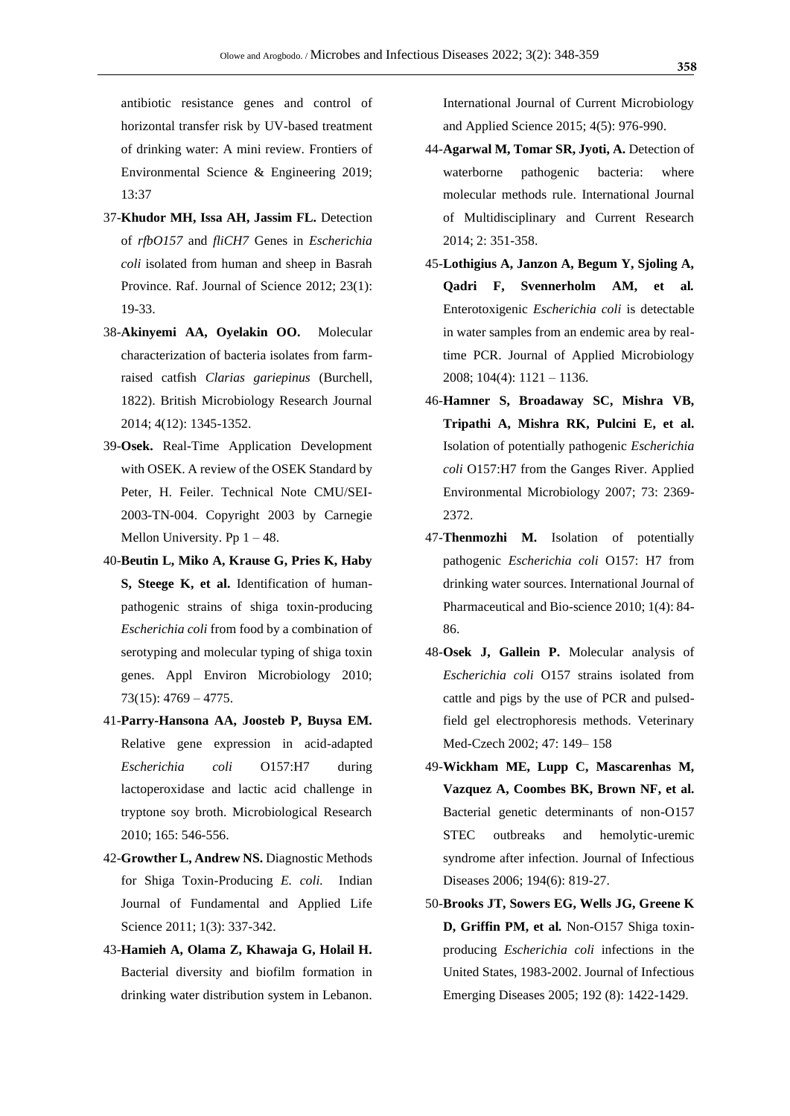antibiotic resistance genes and control of horizontal transfer risk by UV-based treatment of drinking water: A mini review. [Frontiers of](https://link.springer.com/journal/11783)  [Environmental Science & Engineering](https://link.springer.com/journal/11783) 2019; 13:37

- 37-**Khudor MH, Issa AH, Jassim FL.** Detection of *rfbO157* and *fliCH7* Genes in *Escherichia coli* isolated from human and sheep in Basrah Province. Raf. Journal of Science 2012; 23(1): 19-33.
- 38-**Akinyemi AA, Oyelakin OO.** Molecular characterization of bacteria isolates from farmraised catfish *Clarias gariepinus* (Burchell, 1822). British Microbiology Research Journal 2014; 4(12): 1345-1352.
- 39-**Osek.** Real-Time Application Development with OSEK. A review of the OSEK Standard by Peter, H. Feiler. Technical Note CMU/SEI-2003-TN-004. Copyright 2003 by Carnegie Mellon University. Pp  $1 - 48$ .
- 40-**Beutin L, Miko A, Krause G, Pries K, Haby S, Steege K, et al.** Identification of humanpathogenic strains of shiga toxin-producing *Escherichia coli* from food by a combination of serotyping and molecular typing of shiga toxin genes. Appl Environ Microbiology 2010; 73(15): 4769 – 4775.
- 41-**Parry-Hansona AA, Joosteb P, Buysa EM.** Relative gene expression in acid-adapted *Escherichia coli* O157:H7 during lactoperoxidase and lactic acid challenge in tryptone soy broth. Microbiological Research 2010; 165: 546-556.
- 42-**Growther L, Andrew NS.** Diagnostic Methods for Shiga Toxin-Producing *E. coli.* Indian Journal of Fundamental and Applied Life Science 2011; 1(3): 337-342.
- 43-**Hamieh A, Olama Z, Khawaja G, Holail H.** Bacterial diversity and biofilm formation in drinking water distribution system in Lebanon*.*

International Journal of Current Microbiology and Applied Science 2015; 4(5): 976-990.

- 44-**Agarwal M, Tomar SR, Jyoti, A.** Detection of waterborne pathogenic bacteria: where molecular methods rule. International Journal of Multidisciplinary and Current Research 2014; 2: 351-358.
- 45-**Lothigius A, Janzon A, Begum Y, Sjoling A, Qadri F, Svennerholm AM, et al***.* Enterotoxigenic *Escherichia coli* is detectable in water samples from an endemic area by realtime PCR. Journal of Applied Microbiology 2008; 104(4): 1121 – 1136.
- 46-**Hamner S, Broadaway SC, Mishra VB, Tripathi A, Mishra RK, Pulcini E, et al.** Isolation of potentially pathogenic *Escherichia coli* O157:H7 from the Ganges River. Applied Environmental Microbiology 2007; 73: 2369- 2372.
- 47-**Thenmozhi M.** Isolation of potentially pathogenic *Escherichia coli* O157: H7 from drinking water sources. International Journal of Pharmaceutical and Bio-science 2010; 1(4): 84- 86.
- 48-**Osek J, Gallein P.** Molecular analysis of *Escherichia coli* O157 strains isolated from cattle and pigs by the use of PCR and pulsedfield gel electrophoresis methods. Veterinary Med-Czech 2002; 47: 149– 158
- 49-**Wickham ME, Lupp C, Mascarenhas M, Vazquez A, Coombes BK, Brown NF, et al.** Bacterial genetic determinants of non-O157 STEC outbreaks and hemolytic-uremic syndrome after infection. Journal of Infectious Diseases 2006; 194(6): 819-27.
- 50-**Brooks JT, Sowers EG, Wells JG, Greene K D, Griffin PM, et al***.* Non-O157 Shiga toxinproducing *Escherichia coli* infections in the United States, 1983-2002. Journal of Infectious Emerging Diseases 2005; 192 (8): 1422-1429.